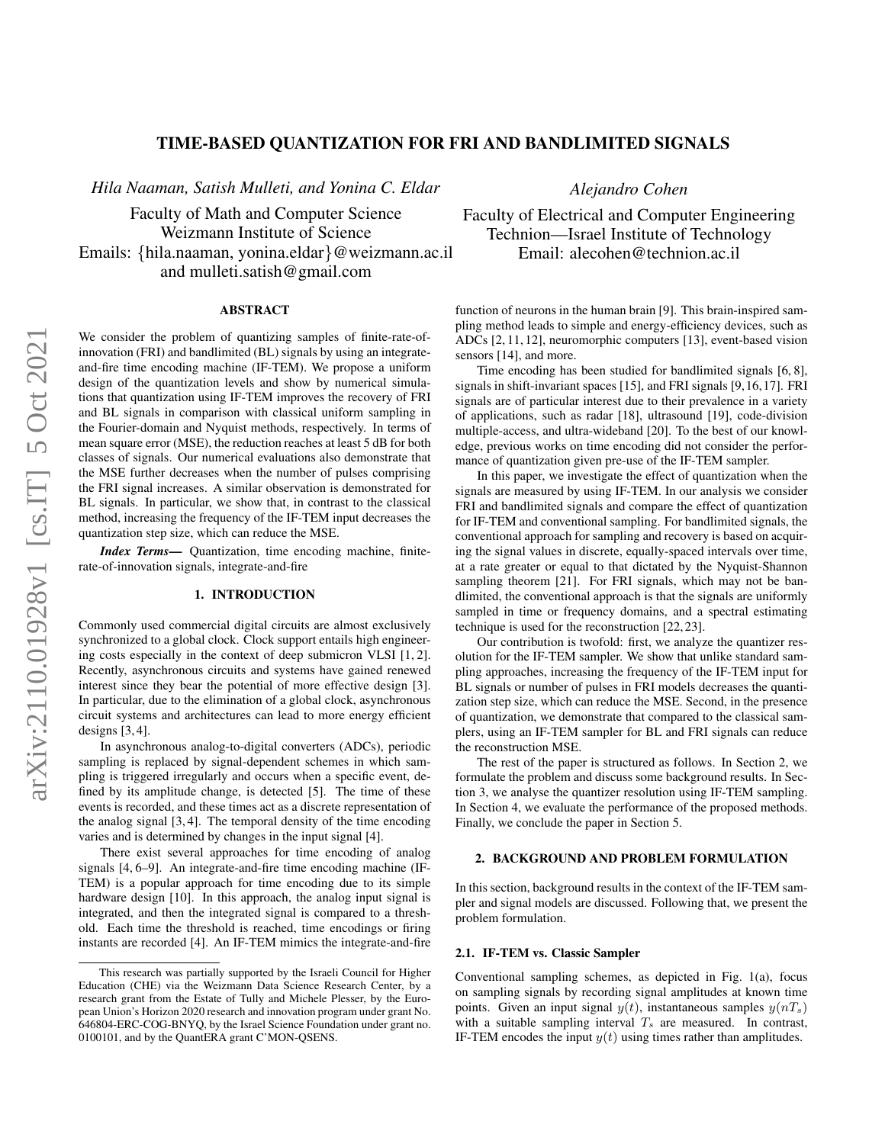# arXiv:2110.01928v1 [cs.IT] 5 Oct 2021 arXiv:2110.01928v1 [cs.IT] 5 Oct 2021

# TIME-BASED QUANTIZATION FOR FRI AND BANDLIMITED SIGNALS

*Hila Naaman, Satish Mulleti, and Yonina C. Eldar*

Faculty of Math and Computer Science Weizmann Institute of Science Emails: {hila.naaman, yonina.eldar}@weizmann.ac.il and mulleti.satish@gmail.com

# ABSTRACT

We consider the problem of quantizing samples of finite-rate-ofinnovation (FRI) and bandlimited (BL) signals by using an integrateand-fire time encoding machine (IF-TEM). We propose a uniform design of the quantization levels and show by numerical simulations that quantization using IF-TEM improves the recovery of FRI and BL signals in comparison with classical uniform sampling in the Fourier-domain and Nyquist methods, respectively. In terms of mean square error (MSE), the reduction reaches at least 5 dB for both classes of signals. Our numerical evaluations also demonstrate that the MSE further decreases when the number of pulses comprising the FRI signal increases. A similar observation is demonstrated for BL signals. In particular, we show that, in contrast to the classical method, increasing the frequency of the IF-TEM input decreases the quantization step size, which can reduce the MSE.

*Index Terms*— Quantization, time encoding machine, finiterate-of-innovation signals, integrate-and-fire

# 1. INTRODUCTION

Commonly used commercial digital circuits are almost exclusively synchronized to a global clock. Clock support entails high engineering costs especially in the context of deep submicron VLSI [1, 2]. Recently, asynchronous circuits and systems have gained renewed interest since they bear the potential of more effective design [3]. In particular, due to the elimination of a global clock, asynchronous circuit systems and architectures can lead to more energy efficient designs [3, 4].

In asynchronous analog-to-digital converters (ADCs), periodic sampling is replaced by signal-dependent schemes in which sampling is triggered irregularly and occurs when a specific event, defined by its amplitude change, is detected [5]. The time of these events is recorded, and these times act as a discrete representation of the analog signal [3, 4]. The temporal density of the time encoding varies and is determined by changes in the input signal [4].

There exist several approaches for time encoding of analog signals [4, 6–9]. An integrate-and-fire time encoding machine (IF-TEM) is a popular approach for time encoding due to its simple hardware design [10]. In this approach, the analog input signal is integrated, and then the integrated signal is compared to a threshold. Each time the threshold is reached, time encodings or firing instants are recorded [4]. An IF-TEM mimics the integrate-and-fire

*Alejandro Cohen*

Faculty of Electrical and Computer Engineering Technion—Israel Institute of Technology Email: alecohen@technion.ac.il

function of neurons in the human brain [9]. This brain-inspired sampling method leads to simple and energy-efficiency devices, such as ADCs [2, 11, 12], neuromorphic computers [13], event-based vision sensors [14], and more.

Time encoding has been studied for bandlimited signals [6, 8], signals in shift-invariant spaces [15], and FRI signals [9,16,17]. FRI signals are of particular interest due to their prevalence in a variety of applications, such as radar [18], ultrasound [19], code-division multiple-access, and ultra-wideband [20]. To the best of our knowledge, previous works on time encoding did not consider the performance of quantization given pre-use of the IF-TEM sampler.

In this paper, we investigate the effect of quantization when the signals are measured by using IF-TEM. In our analysis we consider FRI and bandlimited signals and compare the effect of quantization for IF-TEM and conventional sampling. For bandlimited signals, the conventional approach for sampling and recovery is based on acquiring the signal values in discrete, equally-spaced intervals over time, at a rate greater or equal to that dictated by the Nyquist-Shannon sampling theorem [21]. For FRI signals, which may not be bandlimited, the conventional approach is that the signals are uniformly sampled in time or frequency domains, and a spectral estimating technique is used for the reconstruction [22, 23].

Our contribution is twofold: first, we analyze the quantizer resolution for the IF-TEM sampler. We show that unlike standard sampling approaches, increasing the frequency of the IF-TEM input for BL signals or number of pulses in FRI models decreases the quantization step size, which can reduce the MSE. Second, in the presence of quantization, we demonstrate that compared to the classical samplers, using an IF-TEM sampler for BL and FRI signals can reduce the reconstruction MSE.

The rest of the paper is structured as follows. In Section 2, we formulate the problem and discuss some background results. In Section 3, we analyse the quantizer resolution using IF-TEM sampling. In Section 4, we evaluate the performance of the proposed methods. Finally, we conclude the paper in Section 5.

# 2. BACKGROUND AND PROBLEM FORMULATION

In this section, background results in the context of the IF-TEM sampler and signal models are discussed. Following that, we present the problem formulation.

# 2.1. IF-TEM vs. Classic Sampler

Conventional sampling schemes, as depicted in Fig. 1(a), focus on sampling signals by recording signal amplitudes at known time points. Given an input signal  $y(t)$ , instantaneous samples  $y(nT<sub>s</sub>)$ with a suitable sampling interval  $T<sub>s</sub>$  are measured. In contrast, IF-TEM encodes the input  $y(t)$  using times rather than amplitudes.

This research was partially supported by the Israeli Council for Higher Education (CHE) via the Weizmann Data Science Research Center, by a research grant from the Estate of Tully and Michele Plesser, by the European Union's Horizon 2020 research and innovation program under grant No. 646804-ERC-COG-BNYQ, by the Israel Science Foundation under grant no. 0100101, and by the QuantERA grant C'MON-QSENS.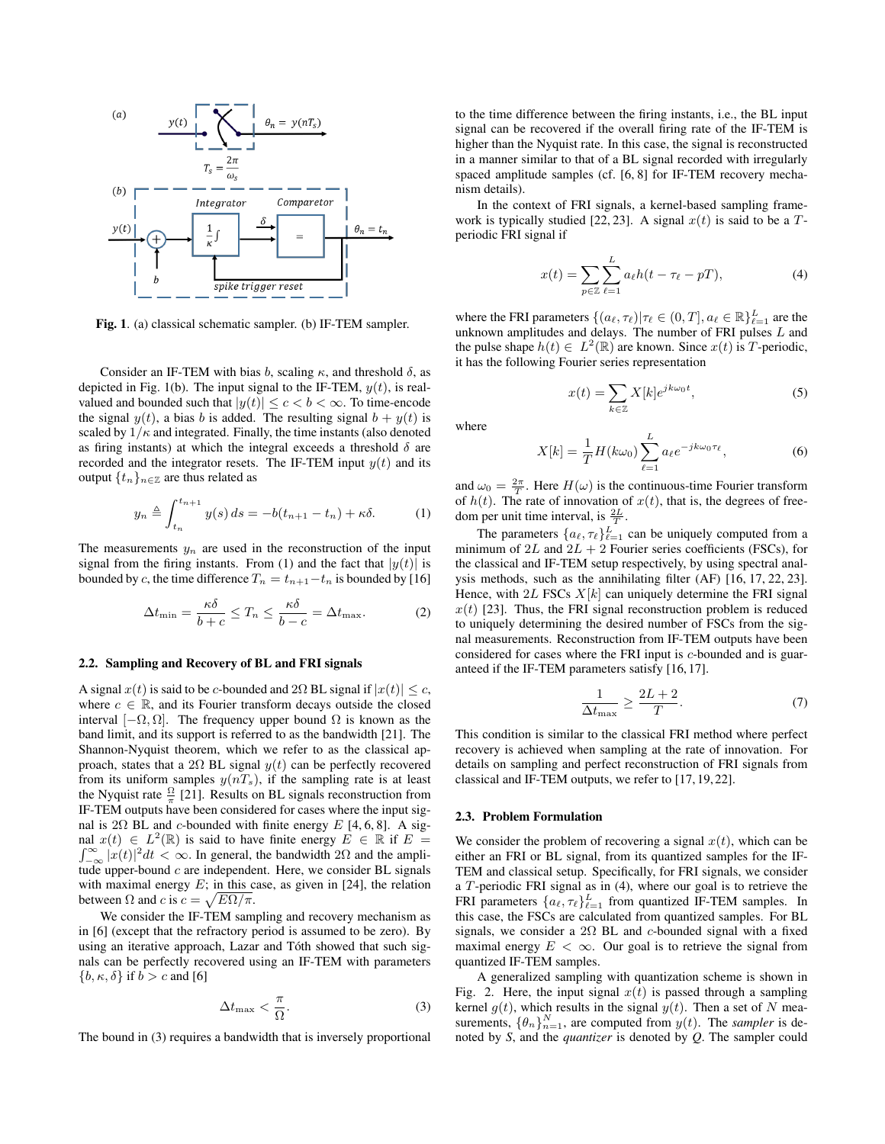

Fig. 1. (a) classical schematic sampler. (b) IF-TEM sampler.

Consider an IF-TEM with bias b, scaling  $\kappa$ , and threshold  $\delta$ , as depicted in Fig. 1(b). The input signal to the IF-TEM,  $y(t)$ , is realvalued and bounded such that  $|y(t)| \leq c < b < \infty$ . To time-encode the signal  $y(t)$ , a bias b is added. The resulting signal  $b + y(t)$  is scaled by  $1/\kappa$  and integrated. Finally, the time instants (also denoted as firing instants) at which the integral exceeds a threshold  $\delta$  are recorded and the integrator resets. The IF-TEM input  $y(t)$  and its output  $\{t_n\}_{n\in\mathbb{Z}}$  are thus related as

$$
y_n \triangleq \int_{t_n}^{t_{n+1}} y(s) \, ds = -b(t_{n+1} - t_n) + \kappa \delta. \tag{1}
$$

The measurements  $y_n$  are used in the reconstruction of the input signal from the firing instants. From (1) and the fact that  $|y(t)|$  is bounded by c, the time difference  $T_n = t_{n+1}-t_n$  is bounded by [16]

$$
\Delta t_{\min} = \frac{\kappa \delta}{b+c} \le T_n \le \frac{\kappa \delta}{b-c} = \Delta t_{\max}.
$$
 (2)

### 2.2. Sampling and Recovery of BL and FRI signals

A signal  $x(t)$  is said to be c-bounded and  $2\Omega$  BL signal if  $|x(t)| \leq c$ , where  $c \in \mathbb{R}$ , and its Fourier transform decays outside the closed interval  $[-\Omega, \Omega]$ . The frequency upper bound  $\Omega$  is known as the band limit, and its support is referred to as the bandwidth [21]. The Shannon-Nyquist theorem, which we refer to as the classical approach, states that a 2 $\Omega$  BL signal  $y(t)$  can be perfectly recovered from its uniform samples  $y(nT<sub>s</sub>)$ , if the sampling rate is at least the Nyquist rate  $\frac{\Omega}{\pi}$  [21]. Results on BL signals reconstruction from IF-TEM outputs have been considered for cases where the input signal is 2 $\Omega$  BL and c-bounded with finite energy E [4, 6, 8]. A signal  $x(t) \in L^2(\mathbb{R})$  is said to have finite energy  $E \in \mathbb{R}$  if  $E =$  $\int_{-\infty}^{\infty} |x(t)|^2 dt < \infty$ . In general, the bandwidth 2 $\Omega$  and the amplitude upper-bound  $c$  are independent. Here, we consider BL signals with maximal energy  $E$ ; in this case, as given in [24], the relation between  $\Omega$  and  $c$  is  $c = \sqrt{E\Omega/\pi}$ .

We consider the IF-TEM sampling and recovery mechanism as in [6] (except that the refractory period is assumed to be zero). By using an iterative approach, Lazar and Tóth showed that such signals can be perfectly recovered using an IF-TEM with parameters  ${b, \kappa, \delta}$  if  $b > c$  and [6]

$$
\Delta t_{\text{max}} < \frac{\pi}{\Omega}.\tag{3}
$$

The bound in (3) requires a bandwidth that is inversely proportional

to the time difference between the firing instants, i.e., the BL input signal can be recovered if the overall firing rate of the IF-TEM is higher than the Nyquist rate. In this case, the signal is reconstructed in a manner similar to that of a BL signal recorded with irregularly spaced amplitude samples (cf. [6, 8] for IF-TEM recovery mechanism details).

In the context of FRI signals, a kernel-based sampling framework is typically studied [22, 23]. A signal  $x(t)$  is said to be a Tperiodic FRI signal if

$$
x(t) = \sum_{p \in \mathbb{Z}} \sum_{\ell=1}^{L} a_{\ell} h(t - \tau_{\ell} - pT), \tag{4}
$$

where the FRI parameters  $\{(a_{\ell}, \tau_{\ell}) | \tau_{\ell} \in (0, T], a_{\ell} \in \mathbb{R}\}_{\ell=1}^{L}$  are the unknown amplitudes and delays. The number of FRI pulses L and the pulse shape  $h(t) \in L^2(\mathbb{R})$  are known. Since  $x(t)$  is T-periodic, it has the following Fourier series representation

$$
x(t) = \sum_{k \in \mathbb{Z}} X[k] e^{jk\omega_0 t}, \tag{5}
$$

where

$$
X[k] = \frac{1}{T}H(k\omega_0) \sum_{\ell=1}^{L} a_{\ell} e^{-jk\omega_0 \tau_{\ell}},
$$
\n(6)

and  $\omega_0 = \frac{2\pi}{T}$ . Here  $H(\omega)$  is the continuous-time Fourier transform of  $h(t)$ . The rate of innovation of  $x(t)$ , that is, the degrees of freedom per unit time interval, is  $\frac{2L}{T}$ .

The parameters  $\{a_{\ell}, \tau_{\ell}\}_{\ell=1}^{L}$  can be uniquely computed from a minimum of  $2L$  and  $2L + 2$  Fourier series coefficients (FSCs), for the classical and IF-TEM setup respectively, by using spectral analysis methods, such as the annihilating filter (AF) [16, 17, 22, 23]. Hence, with  $2L$  FSCs  $X[k]$  can uniquely determine the FRI signal  $x(t)$  [23]. Thus, the FRI signal reconstruction problem is reduced to uniquely determining the desired number of FSCs from the signal measurements. Reconstruction from IF-TEM outputs have been considered for cases where the FRI input is c-bounded and is guaranteed if the IF-TEM parameters satisfy [16, 17].

$$
\frac{1}{\Delta t_{\text{max}}} \ge \frac{2L+2}{T}.\tag{7}
$$

This condition is similar to the classical FRI method where perfect recovery is achieved when sampling at the rate of innovation. For details on sampling and perfect reconstruction of FRI signals from classical and IF-TEM outputs, we refer to [17, 19, 22].

### 2.3. Problem Formulation

We consider the problem of recovering a signal  $x(t)$ , which can be either an FRI or BL signal, from its quantized samples for the IF-TEM and classical setup. Specifically, for FRI signals, we consider a T-periodic FRI signal as in (4), where our goal is to retrieve the FRI parameters  $\{a_{\ell}, \tau_{\ell}\}_{\ell=1}^{L}$  from quantized IF-TEM samples. In this case, the FSCs are calculated from quantized samples. For BL signals, we consider a  $2\Omega$  BL and c-bounded signal with a fixed maximal energy  $E < \infty$ . Our goal is to retrieve the signal from quantized IF-TEM samples.

A generalized sampling with quantization scheme is shown in Fig. 2. Here, the input signal  $x(t)$  is passed through a sampling kernel  $g(t)$ , which results in the signal  $y(t)$ . Then a set of N measurements,  $\{\theta_n\}_{n=1}^N$ , are computed from  $y(t)$ . The *sampler* is denoted by *S*, and the *quantizer* is denoted by *Q*. The sampler could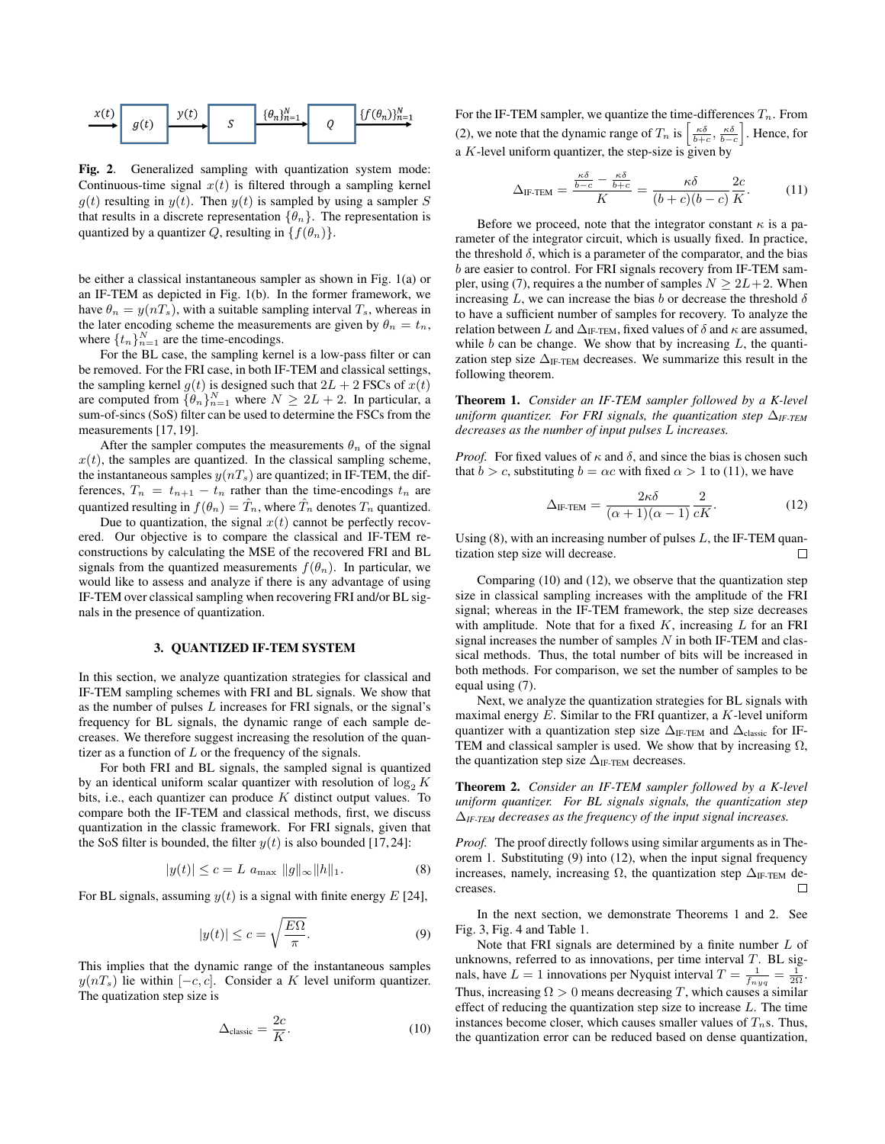

Fig. 2. Generalized sampling with quantization system mode: Continuous-time signal  $x(t)$  is filtered through a sampling kernel  $g(t)$  resulting in  $y(t)$ . Then  $y(t)$  is sampled by using a sampler S that results in a discrete representation  $\{\theta_n\}$ . The representation is quantized by a quantizer Q, resulting in  $\{f(\theta_n)\}.$ 

be either a classical instantaneous sampler as shown in Fig. 1(a) or an IF-TEM as depicted in Fig. 1(b). In the former framework, we have  $\theta_n = y(nT_s)$ , with a suitable sampling interval  $T_s$ , whereas in the later encoding scheme the measurements are given by  $\theta_n = t_n$ , where  $\{t_n\}_{n=1}^N$  are the time-encodings.

For the BL case, the sampling kernel is a low-pass filter or can be removed. For the FRI case, in both IF-TEM and classical settings, the sampling kernel  $q(t)$  is designed such that  $2L + 2$  FSCs of  $x(t)$ are computed from  $\{\theta_n\}_{n=1}^N$  where  $N \geq 2L + 2$ . In particular, a sum-of-sincs (SoS) filter can be used to determine the FSCs from the measurements [17, 19].

After the sampler computes the measurements  $\theta_n$  of the signal  $x(t)$ , the samples are quantized. In the classical sampling scheme, the instantaneous samples  $y(nT<sub>s</sub>)$  are quantized; in IF-TEM, the differences,  $T_n = t_{n+1} - t_n$  rather than the time-encodings  $t_n$  are quantized resulting in  $f(\theta_n) = \hat{T}_n$ , where  $\hat{T}_n$  denotes  $T_n$  quantized.

Due to quantization, the signal  $x(t)$  cannot be perfectly recovered. Our objective is to compare the classical and IF-TEM reconstructions by calculating the MSE of the recovered FRI and BL signals from the quantized measurements  $f(\theta_n)$ . In particular, we would like to assess and analyze if there is any advantage of using IF-TEM over classical sampling when recovering FRI and/or BL signals in the presence of quantization.

### 3. QUANTIZED IF-TEM SYSTEM

In this section, we analyze quantization strategies for classical and IF-TEM sampling schemes with FRI and BL signals. We show that as the number of pulses L increases for FRI signals, or the signal's frequency for BL signals, the dynamic range of each sample decreases. We therefore suggest increasing the resolution of the quantizer as a function of  $L$  or the frequency of the signals.

For both FRI and BL signals, the sampled signal is quantized by an identical uniform scalar quantizer with resolution of  $\log_2 K$ bits, i.e., each quantizer can produce  $K$  distinct output values. To compare both the IF-TEM and classical methods, first, we discuss quantization in the classic framework. For FRI signals, given that the SoS filter is bounded, the filter  $y(t)$  is also bounded [17,24]:

$$
|y(t)| \le c = L a_{\text{max}} \|g\|_{\infty} \|h\|_{1}.
$$
 (8)

For BL signals, assuming  $y(t)$  is a signal with finite energy E [24],

$$
|y(t)| \le c = \sqrt{\frac{E\Omega}{\pi}}.
$$
\n(9)

This implies that the dynamic range of the instantaneous samples  $y(nT<sub>s</sub>)$  lie within  $[-c, c]$ . Consider a K level uniform quantizer. The quatization step size is

$$
\Delta_{\text{classic}} = \frac{2c}{K}.\tag{10}
$$

For the IF-TEM sampler, we quantize the time-differences  $T_n$ . From (2), we note that the dynamic range of  $T_n$  is  $\left[\frac{\kappa \delta}{b+c}, \frac{\kappa \delta}{b-c}\right]$ . Hence, for a  $K$ -level uniform quantizer, the step-size is given by

$$
\Delta_{\text{IF-TEM}} = \frac{\frac{\kappa \delta}{b-c} - \frac{\kappa \delta}{b+c}}{K} = \frac{\kappa \delta}{(b+c)(b-c)} \frac{2c}{K}.
$$
 (11)

Before we proceed, note that the integrator constant  $\kappa$  is a parameter of the integrator circuit, which is usually fixed. In practice, the threshold  $\delta$ , which is a parameter of the comparator, and the bias b are easier to control. For FRI signals recovery from IF-TEM sampler, using (7), requires a the number of samples  $N \geq 2L+2$ . When increasing L, we can increase the bias b or decrease the threshold  $\delta$ to have a sufficient number of samples for recovery. To analyze the relation between L and  $\Delta_{\text{IF-TEM}}$ , fixed values of  $\delta$  and  $\kappa$  are assumed, while  $b$  can be change. We show that by increasing  $L$ , the quantization step size  $\Delta_{\text{IF-TEM}}$  decreases. We summarize this result in the following theorem.

Theorem 1. *Consider an IF-TEM sampler followed by a K-level uniform quantizer. For FRI signals, the quantization step* ∆*IF-TEM decreases as the number of input pulses* L *increases.*

*Proof.* For fixed values of  $\kappa$  and  $\delta$ , and since the bias is chosen such that  $b > c$ , substituting  $b = \alpha c$  with fixed  $\alpha > 1$  to (11), we have

$$
\Delta_{\text{IF-TEM}} = \frac{2\kappa\delta}{(\alpha+1)(\alpha-1)}\frac{2}{cK}.\tag{12}
$$

Using  $(8)$ , with an increasing number of pulses  $L$ , the IF-TEM quantization step size will decrease.  $\Box$ 

Comparing (10) and (12), we observe that the quantization step size in classical sampling increases with the amplitude of the FRI signal; whereas in the IF-TEM framework, the step size decreases with amplitude. Note that for a fixed  $K$ , increasing  $L$  for an FRI signal increases the number of samples  $N$  in both IF-TEM and classical methods. Thus, the total number of bits will be increased in both methods. For comparison, we set the number of samples to be equal using (7).

Next, we analyze the quantization strategies for BL signals with maximal energy  $E$ . Similar to the FRI quantizer, a  $K$ -level uniform quantizer with a quantization step size  $\Delta_{\text{IF-TEM}}$  and  $\Delta_{\text{classic}}$  for IF-TEM and classical sampler is used. We show that by increasing  $\Omega$ , the quantization step size  $\Delta_{\text{IF-TEM}}$  decreases.

Theorem 2. *Consider an IF-TEM sampler followed by a K-level uniform quantizer. For BL signals signals, the quantization step* ∆*IF-TEM decreases as the frequency of the input signal increases.*

*Proof.* The proof directly follows using similar arguments as in Theorem 1. Substituting (9) into (12), when the input signal frequency increases, namely, increasing  $\Omega$ , the quantization step  $\Delta_{\text{IF-TEM}}$  decreases. creases.

In the next section, we demonstrate Theorems 1 and 2. See Fig. 3, Fig. 4 and Table 1.

Note that FRI signals are determined by a finite number  $L$  of unknowns, referred to as innovations, per time interval  $T$ . BL signals, have  $L = 1$  innovations per Nyquist interval  $T = \frac{1}{f_{nyq}} = \frac{1}{2\Omega}$ . Thus, increasing  $\Omega > 0$  means decreasing T, which causes a similar effect of reducing the quantization step size to increase  $L$ . The time instances become closer, which causes smaller values of  $T_n$ s. Thus, the quantization error can be reduced based on dense quantization,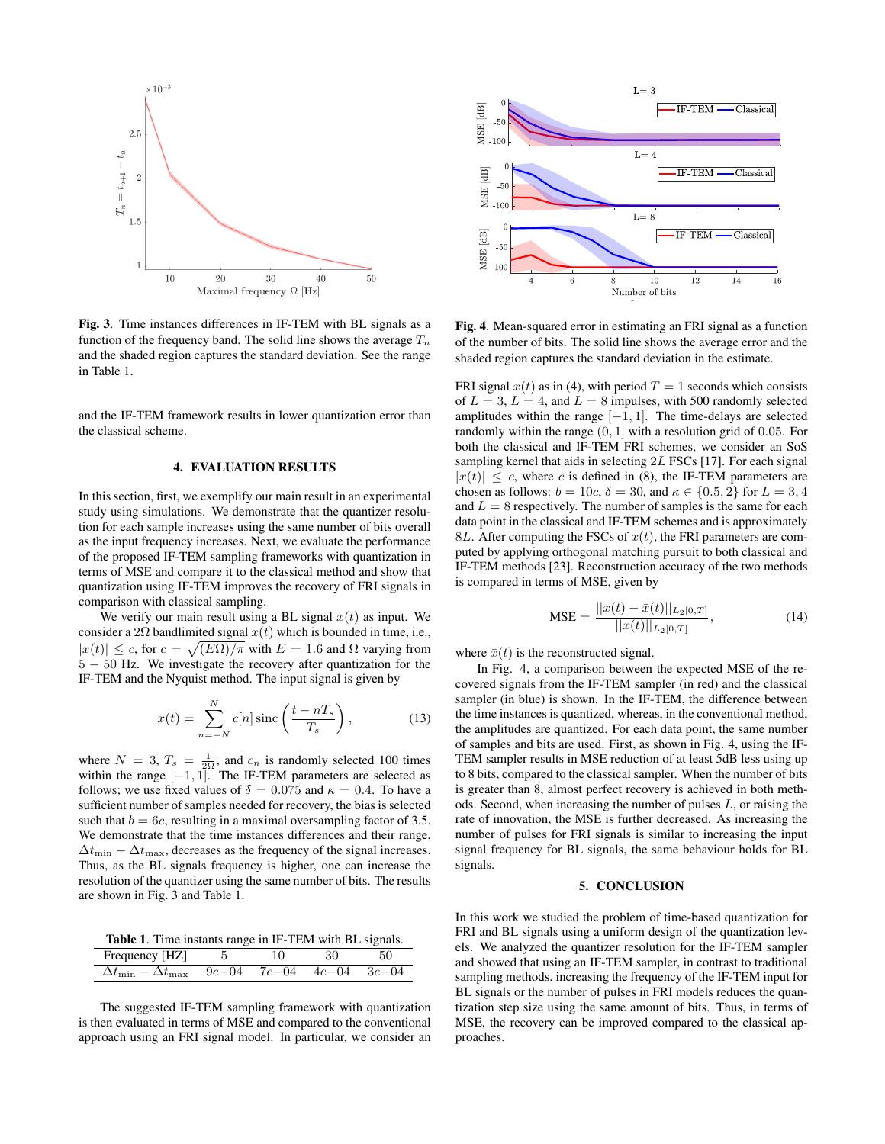

Fig. 3. Time instances differences in IF-TEM with BL signals as a function of the frequency band. The solid line shows the average  $T_n$ and the shaded region captures the standard deviation. See the range in Table 1.

and the IF-TEM framework results in lower quantization error than the classical scheme.

### 4. EVALUATION RESULTS

In this section, first, we exemplify our main result in an experimental study using simulations. We demonstrate that the quantizer resolution for each sample increases using the same number of bits overall as the input frequency increases. Next, we evaluate the performance of the proposed IF-TEM sampling frameworks with quantization in terms of MSE and compare it to the classical method and show that quantization using IF-TEM improves the recovery of FRI signals in comparison with classical sampling.

We verify our main result using a BL signal  $x(t)$  as input. We consider a 2 $\Omega$  bandlimited signal  $x(t)$  which is bounded in time, i.e.,  $|x(t)| \leq c$ , for  $c = \sqrt{E\Omega/\pi}$  with  $E = 1.6$  and  $\Omega$  varying from 5 − 50 Hz. We investigate the recovery after quantization for the IF-TEM and the Nyquist method. The input signal is given by

$$
x(t) = \sum_{n=-N}^{N} c[n] \operatorname{sinc}\left(\frac{t - nT_s}{T_s}\right),\tag{13}
$$

where  $N = 3$ ,  $T_s = \frac{1}{2\Omega}$ , and  $c_n$  is randomly selected 100 times within the range  $[-1, 1]$ . The IF-TEM parameters are selected as follows; we use fixed values of  $\delta = 0.075$  and  $\kappa = 0.4$ . To have a sufficient number of samples needed for recovery, the bias is selected such that  $b = 6c$ , resulting in a maximal oversampling factor of 3.5. We demonstrate that the time instances differences and their range,  $\Delta t_{\min} - \Delta t_{\max}$ , decreases as the frequency of the signal increases. Thus, as the BL signals frequency is higher, one can increase the resolution of the quantizer using the same number of bits. The results are shown in Fig. 3 and Table 1.

Table 1. Time instants range in IF-TEM with BL signals.

| Frequency [HZ] 5                                                  |  | - 30 - |  |
|-------------------------------------------------------------------|--|--------|--|
| $\Delta t_{\rm min} - \Delta t_{\rm max}$ 9e-04 7e-04 4e-04 3e-04 |  |        |  |

The suggested IF-TEM sampling framework with quantization is then evaluated in terms of MSE and compared to the conventional approach using an FRI signal model. In particular, we consider an



Fig. 4. Mean-squared error in estimating an FRI signal as a function of the number of bits. The solid line shows the average error and the shaded region captures the standard deviation in the estimate.

FRI signal  $x(t)$  as in (4), with period  $T = 1$  seconds which consists of  $L = 3$ ,  $L = 4$ , and  $L = 8$  impulses, with 500 randomly selected amplitudes within the range  $[-1, 1]$ . The time-delays are selected randomly within the range (0, 1] with a resolution grid of 0.05. For both the classical and IF-TEM FRI schemes, we consider an SoS sampling kernel that aids in selecting 2L FSCs [17]. For each signal  $|x(t)| \leq c$ , where c is defined in (8), the IF-TEM parameters are chosen as follows:  $b = 10c$ ,  $\delta = 30$ , and  $\kappa \in \{0.5, 2\}$  for  $L = 3, 4$ and  $L = 8$  respectively. The number of samples is the same for each data point in the classical and IF-TEM schemes and is approximately 8L. After computing the FSCs of  $x(t)$ , the FRI parameters are computed by applying orthogonal matching pursuit to both classical and IF-TEM methods [23]. Reconstruction accuracy of the two methods is compared in terms of MSE, given by

$$
\text{MSE} = \frac{||x(t) - \bar{x}(t)||_{L_2[0,T]}}{||x(t)||_{L_2[0,T]}},\tag{14}
$$

where  $\bar{x}(t)$  is the reconstructed signal.

In Fig. 4, a comparison between the expected MSE of the recovered signals from the IF-TEM sampler (in red) and the classical sampler (in blue) is shown. In the IF-TEM, the difference between the time instances is quantized, whereas, in the conventional method, the amplitudes are quantized. For each data point, the same number of samples and bits are used. First, as shown in Fig. 4, using the IF-TEM sampler results in MSE reduction of at least 5dB less using up to 8 bits, compared to the classical sampler. When the number of bits is greater than 8, almost perfect recovery is achieved in both methods. Second, when increasing the number of pulses L, or raising the rate of innovation, the MSE is further decreased. As increasing the number of pulses for FRI signals is similar to increasing the input signal frequency for BL signals, the same behaviour holds for BL signals.

### 5. CONCLUSION

In this work we studied the problem of time-based quantization for FRI and BL signals using a uniform design of the quantization levels. We analyzed the quantizer resolution for the IF-TEM sampler and showed that using an IF-TEM sampler, in contrast to traditional sampling methods, increasing the frequency of the IF-TEM input for BL signals or the number of pulses in FRI models reduces the quantization step size using the same amount of bits. Thus, in terms of MSE, the recovery can be improved compared to the classical approaches.